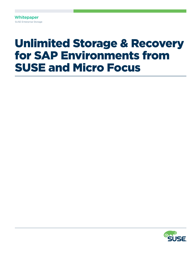**Whitepaper** SUSE Enterprise Storage

# Unlimited Storage & Recovery for SAP Environments from SUSE and Micro Focus

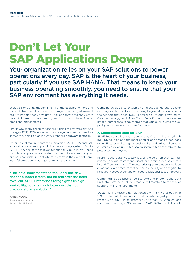# Don't Let Your SAP Applications Down

Your organization relies on your SAP solutions to power operations every day. SAP is the heart of your business, particularly if you use SAP HANA. That means to keep your business operating smoothly, you need to ensure that your SAP environment has everything it needs.

Storage is one thing modern IT environments demand more and more of. Traditional proprietary storage solutions just weren't built to handle today's volume—nor can they efficiently store data of different sources and types, from unstructured files to block and object stores.

That is why many organizations are turning to software-defined storage (SDS). SDS delivers all the storage services you need via software running on an industry-standard hardware platform.

Other crucial requirements for supporting SAP HANA and SAP applications are backup and disaster recovery systems. While SAP HANA has some failover functionality built in, you need complete, application-consistent recovery to ensure that your business can pick up right where it left off in the event of hardware failures, power outages or regional disasters.

"The initial implementation took only one day, and the support before, during and after has been excellent. SUSE Enterprise Storage gives us high availability, but at a much lower cost than our previous storage solution."

MAREK NOGAJ *System Administrator* Jagiellonian University Combine an SDS cluster with an efficient backup and disaster recovery solution and you have a way to give SAP environments the support they need. SUSE Enterprise Storage, powered by Ceph technology, and Micro Focus Data Protector provide unlimited, compliance-ready storage that is uniquely suited to support your business-critical SAP systems.

## **A Combination Built for SAP**

SUSE Enterprise Storage is powered by Ceph, an industry-leading SDS solution and the most popular one among OpenStack users. Enterprise Storage is designed as a distributed storage cluster to provide unlimited scalability from tens of terabytes to petabytes and beyond.

Micro Focus Data Protector is a single solution that can administer backup, restore and disaster recovery processes across hybrid IT environments. The enterprise-grade solution is built on an adaptive architecture that combines security and analytics to help you meet your continuity needs reliably and cost-effectively.

Combined, SUSE Enterprise Storage and Micro Focus Data Protector provide a solution that is well matched to the task of supporting SAP environments.

SUSE has a longstanding relationship with SAP that began in 1999 in the SAP LinuxLab. Our relationship is just part of the reason why SUSE Linux Enterprise Server for SAP Applications is currently running in 90 percent of SAP HANA installations. It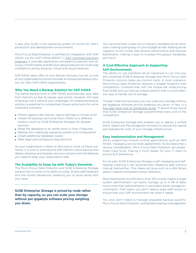is also why SUSE is the operating system of choice for SAP's production and development environments.

Micro Focus Data Protector is certified for integration with SAP HANA via the SAP HANA-BRINT 1.1 [SAP Certified Solutions](https://www.sap.com/dmc/exp/2013_09_adpd/enEN/)  [Directory.](https://www.sap.com/dmc/exp/2013_09_adpd/enEN/) It provides application-consistent protection and recovery of SAP HANA and efficient data protection for multinode installations across physical, virtual and cloud instances.

SAP HANA does offer its own failover recovery, but let us look at why organizations should consider an enterprise backup solution for their SAP HANA deployments.

### **Why You Need a Backup Solution for SAP HANA**

The native backup tools in SAP HANA automatically save data from memory to disk at regular save points. However, this type of backup won't solve all your challenges. An enterprise backup solution is essential to complement these native tools for some important scenarios:

- *Protect against disk failures, logical damage or human error*
- *Create full backups and store them offsite on a different medium (such as SUSE Enterprise Storage) for disaster recovery*
- *Reset the database to an earlier point in time, if required*
- *Restore the underlying operating system and configuration*
- *Create additional database copies*
- *Meet legal and compliance requirements*

As your organization is likely to face one or more of these scenarios, it is wise to look beyond SAP HANA's native backup and deploy a backup and disaster recovery solution with the features you need to keep your organization safe.

#### **The Scalability to Keep Up with Today's Demands**

The Micro Focus Data Protector and SUSE Enterprise Storage solution has no limits on its ability to scale. Simply add hardware and the cluster rebalances, enabling you to grow along with your data.

SUSE Enterprise Storage is priced by node rather than by capacity, so you can scale your storage without per-gigabyte software pricing weighing you down.

You can build that cluster out of industry-standard server hardware, making scaling easy on your budget as well. Adding server capacity to the cluster also boosts performance and reduces bottlenecks, making it easy to increase throughput (terabytes per hour).

## **A Cost-Effective Approach to Supporting SAP Environments**

The ability to use standard server hardware is just one way the combined SUSE Enterprise Storage and Micro Focus Data Protector solution helps you control costs. In most scenarios, Micro Focus Data Protector requires a smaller footprint than competitors. Combine that with the unique per-node pricing from SUSE and you have an overall solution that is a cost-effective way to handle lots of storage.

The per-node pricing means you can scale your storage without per-gigabyte software pricing weighing you down. In fact, in a [five-year total cost of ownership study](https://www.suse.com/media/case-study/5_year_tco_case_study.pdf), IT Brand Pulse found that SUSE Enterprise Storage outperformed every one of the competitors.

SUSE Enterprise Storage also enables you to deploy a unified block, object and file storage environment to reduce the capital and operational costs of your storage infrastructure.

#### **Easy Implementation and Management**

When supporting mission-critical applications such as SAP HANA, managing service-level agreements (SLAs) becomes a serious consideration. Micro Focus Data Protector can predictively track SLAs, making it much easier for your IT team to ensure SLA adherence.

For its part, SUSE Enterprise Storage is self-managing and selfhealing, meaning it can automatically rebalance data without manual intervention. This means an issue such as a disk failure doesn't require immediate human attention.

Most importantly, the efficiency of an SDS cluster means a single system administrator can easily manage up to 4 PB of data, much more than administrators in equivalent block-storage environments. That means you don't need a large staff simply to ensure that your SAP environment has what it needs.

You also won't need to manage disparate backup systems. Micro Focus Data Protector centralized's backup management,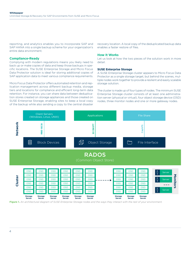reporting, and analytics enables you to incorporate SAP and SAP HANA into a single backup scheme for your organization's entire data environment.

## **Compliance-Ready**

Complying with modern regulations means you likely need to back up or make copies of data and keep those backups in specific locations. The SUSE Enterprise Storage and Micro Focus Data Protector solution is ideal for storing additional copies of SAP application data to meet various compliance requirements.

Micro Focus Data Protector offers automated retention and replication management across different backup media, storage tiers and locations for compliance and efficient long-term data retention. For instance, you can share data between deduplication stores created on storage appliances and those created on SUSE Enterprise Storage, enabling sites to keep a local copy of the backup while also sending a copy to the central disaster

recovery location. A local copy of the deduplicated backup data enables a faster restore of files.

### **How It Works**

Let us look at how the two pieces of the solution work in more detail.

### **SUSE Enterprise Storage**

A SUSE Enterprise Storage cluster appears to Micro Focus Data Protector as a single storage target, but behind the scenes, multiple nodes work together to provide a resilient and easily scalable storage solution.

The cluster is made up of four types of nodes. The minimum SUSE Enterprise Storage cluster consists of at least one administration server (physical or virtual), four object storage device (OSD) nodes, three monitor nodes and one or more gateway nodes.



**Figure 1.** *An architectural diagram of SUSE Enterprise Storage nodes and the ways they interact with the rest of your environment.*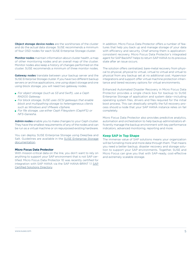Object storage device nodes are the workhorses of the cluster and do the actual data storage. SUSE recommends a minimum of four OSD nodes for each SUSE Enterprise Storage cluster.

Monitor nodes maintain information about cluster health, a map of other monitoring nodes and an overall map of the cluster. Monitor nodes also keep a history of changes performed on the cluster. SUSE recommends a minimum of three monitor nodes.

Gateway nodes translate between your backup server and the SUSE Enterprise Storage cluster. If you have two different backup servers or archive applications, one using object storage and one using block storage, you will need two gateway nodes.

- *For object storage (such as S3 and Swift), use a Ceph RADOS Gateway.*
- *For block storage, SUSE uses iSCSI gateways that enable block and multipathing storage to heterogeneous clients such as Windows and VMware vSphere.*
- *For file storage, use either Ceph Filesystem (CephFS) or NFS-Ganesha.*

Admin nodes enable you to make changes to your Ceph cluster. They have the smallest requirements of any of the nodes and can be run as a virtual machine or on repurposed existing hardware.

You can deploy SUSE Enterprise Storage using DeepSea and Salt. Guidelines are available in the SUSE Enterprise Storage [documentation](https://www.suse.com/documentation/suse-enterprise-storage-5/book_storage_deployment/data/ses_deployment.html).

## **Micro Focus Data Protector**

With mission-critical data on the line, you don't want to rely on anything to support your SAP environment that is not SAP certified. Micro Focus Data Protector 10 was recently certified for integration with SAP HANA via the SAP HANA-BRINT 1.1 [SAP](https://www.sap.com/dmc/exp/2013_09_adpd/enEN/)  [Certified Solutions Directory.](https://www.sap.com/dmc/exp/2013_09_adpd/enEN/)

In addition, Micro Focus Data Protector offers a number of features that help you back up and manage storage of your data with efficiency and security. Chief among them is applicationconsistent recovery. Micro Focus Data Protector's integrated agent for SAP BackINT helps to return SAP HANA to its previous state after an issue occurs.

The solution offers centralized, bare-metal recovery from physical to physical, physical to virtual, virtual to virtual and virtual to physical from any backup set at no additional cost. Hypervisor integrations and support offer virtual machine protection inheritance and tiered recovery options for virtual environments.

Enhanced Automated Disaster Recovery in Micro Focus Data Protector provides a single check box for backup to SUSE Enterprise Storage of application and system data—including operating system files, drivers and files required for the initial boot process. This can drastically simplify the full recovery process should a node that your SAP HANA instance relies on fail completely.

Micro Focus Data Protector also provides predictive analytics, automation and orchestration to help backup administrators efficiently manage the backup environment with key performance indicators, advanced monitoring, reporting and more.

#### **Keep SAP in Top Shape**

The immense value of SAP solutions means your organization will be funneling more and more data through them. That means you need a better backup, disaster recovery and storage solution to support your SAP environments. Together, SUSE and Micro Focus can give you that with SAP-ready, cost-effective and extremely scalable storage.